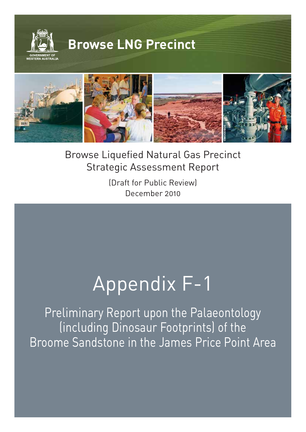

Browse Liquefied Natural Gas Precinct Strategic Assessment Report

**©WOODSIDE**

(Draft for Public Review) December 2010

# Appendix F-1

Preliminary Report upon the Palaeontology (including Dinosaur Footprints) of the Broome Sandstone in the James Price Point Area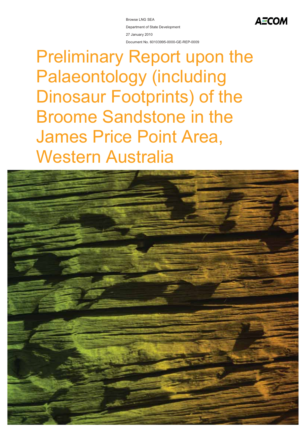Browse LNG SEA Department of State Development 27 January 2010 Document No. 60103995-0000-GE-REP-0009 **AECOM** 

## Preliminary Report upon the Palaeontology (including Dinosaur Footprints) of the Broome Sandstone in the James Price Point Area, Western Australia

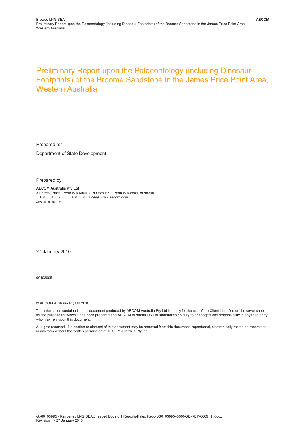#### Preliminary Report upon the Palaeontology (including Dinosaur Footprints) of the Broome Sandstone in the James Price Point Area, Western Australia

Prepared for

Department of State Development

Prepared by

**AECOM Australia Pty Ltd** 3 Forrest Place, Perth WA 6000, GPO Box B59, Perth WA 6849, Australia T +61 8 6430 2000 F +61 8 6430 2999 www.aecom.com ABN 20 093 846 925

27 January 2010

60103995

© AECOM Australia Pty Ltd 2010

The information contained in this document produced by AECOM Australia Pty Ltd is solely for the use of the Client identified on the cover sheet for the purpose for which it has been prepared and AECOM Australia Pty Ltd undertakes no duty to or accepts any responsibility to any third party who may rely upon this document.

All rights reserved. No section or element of this document may be removed from this document, reproduced, electronically stored or transmitted in any form without the written permission of AECOM Australia Pty Ltd.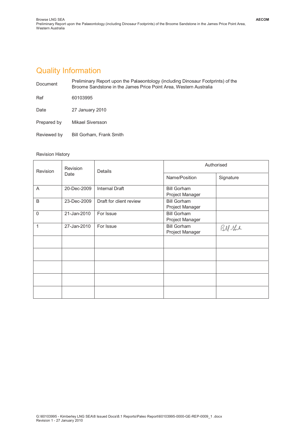### Quality Information

| Document    | Preliminary Report upon the Palaeontology (including Dinosaur Footprints) of the<br>Broome Sandstone in the James Price Point Area, Western Australia |  |  |
|-------------|-------------------------------------------------------------------------------------------------------------------------------------------------------|--|--|
| Ref         | 60103995                                                                                                                                              |  |  |
| Date        | 27 January 2010                                                                                                                                       |  |  |
| Prepared by | Mikael Siversson                                                                                                                                      |  |  |
| Reviewed by | Bill Gorham, Frank Smith                                                                                                                              |  |  |

#### Revision History

| <b>Revision</b> | <b>Revision</b><br>Date | <b>Details</b>          | Authorised                            |           |
|-----------------|-------------------------|-------------------------|---------------------------------------|-----------|
|                 |                         |                         | Name/Position                         | Signature |
| A               | 20-Dec-2009             | <b>Internal Draft</b>   | <b>Bill Gorham</b><br>Project Manager |           |
| B               | 23-Dec-2009             | Draft for client review | <b>Bill Gorham</b><br>Project Manager |           |
| $\Omega$        | 21-Jan-2010             | For Issue               | <b>Bill Gorham</b><br>Project Manager |           |
| 1               | 27-Jan-2010             | For Issue               | <b>Bill Gorham</b><br>Project Manager | BM the    |
|                 |                         |                         |                                       |           |
|                 |                         |                         |                                       |           |
|                 |                         |                         |                                       |           |
|                 |                         |                         |                                       |           |
|                 |                         |                         |                                       |           |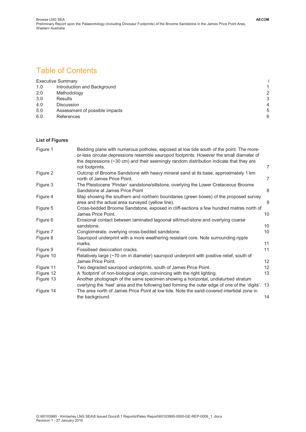#### Table of Contents

|     | <b>Executive Summary</b>       |   |
|-----|--------------------------------|---|
| 1.0 | Introduction and Background    | 1 |
| 2.0 | Methodology                    | 2 |
| 3.0 | <b>Results</b>                 | 3 |
| 4.0 | <b>Discussion</b>              | 4 |
| 5.0 | Assessment of possible impacts | 5 |
| 6.0 | References                     | 6 |

#### **List of Figures**

| Figure 1  | Bedding plane with numerous potholes, exposed at low tide south of the point. The more-<br>or-less circular depressions resemble sauropod footprints. However the small diameter of<br>the depressions $(\sim]30$ cm) and their seemingly random distribution indicate that they are |                |
|-----------|--------------------------------------------------------------------------------------------------------------------------------------------------------------------------------------------------------------------------------------------------------------------------------------|----------------|
|           | not footprints.                                                                                                                                                                                                                                                                      | 7              |
| Figure 2  | Outcrop of Broome Sandstone with heavy mineral sand at its base, approximately 1 km<br>north of James Price Point.                                                                                                                                                                   | $\overline{7}$ |
| Figure 3  | The Pleistocene 'Pindan' sandstone/siltstone, overlying the Lower Cretaceous Broome<br>Sandstone at James Price Point                                                                                                                                                                | 8              |
| Figure 4  | Map showing the southern and northern boundaries (green boxes) of the proposed survey<br>area and the actual area surveyed (yellow line).                                                                                                                                            | 9              |
| Figure 5  | Cross-bedded Broome Sandstone, exposed in cliff-sections a few hundred metres north of<br>James Price Point.                                                                                                                                                                         | 10             |
| Figure 6  | Erosional contact between laminated lagoonal silt/mud-stone and overlying coarse<br>sandstone.                                                                                                                                                                                       | 10             |
| Figure 7  | Conglomerate, overlying cross-bedded sandstone.                                                                                                                                                                                                                                      | 10             |
| Figure 8  | Sauropod underprint with a more weathering resistant core. Note surrounding ripple<br>marks.                                                                                                                                                                                         | 11             |
| Figure 9  | Fossilised desiccation cracks.                                                                                                                                                                                                                                                       | 11             |
| Figure 10 | Relatively large (~70 cm in diameter) sauropod underprint with positive relief, south of<br>James Price Point.                                                                                                                                                                       | 12             |
| Figure 11 | Two degraded sauropod underprints, south of James Price Point.                                                                                                                                                                                                                       | 12             |
| Figure 12 | A 'footprint' of non-biological origin, convincing with the right lighting.                                                                                                                                                                                                          | 13             |
| Figure 13 | Another photograph of the same specimen showing a horizontal, undisturbed stratum                                                                                                                                                                                                    |                |
|           | overlying the 'heel' area and the following bed forming the outer edge of one of the 'digits'. 13                                                                                                                                                                                    |                |
| Figure 14 | The area north of James Price Point at low tide. Note the sand-covered intertidal zone in                                                                                                                                                                                            |                |
|           | the background.                                                                                                                                                                                                                                                                      | 14             |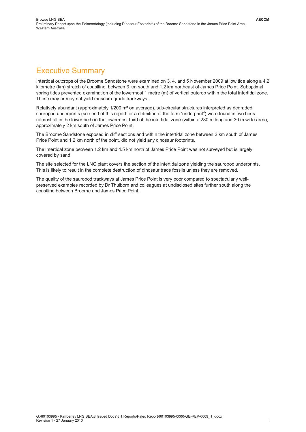#### Executive Summary

Intertidal outcrops of the Broome Sandstone were examined on 3, 4, and 5 November 2009 at low tide along a 4.2 kilometre (km) stretch of coastline, between 3 km south and 1.2 km northeast of James Price Point. Suboptimal spring tides prevented examination of the lowermost 1 metre (m) of vertical outcrop within the total intertidal zone. These may or may not yield museum-grade trackways.

Relatively abundant (approximately 1/200 m² on average), sub-circular structures interpreted as degraded sauropod underprints (see end of this report for a definition of the term 'underprint'<sup>i</sup>) were found in two beds (almost all in the lower bed) in the lowermost third of the intertidal zone (within a 280 m long and 30 m wide area), approximately 2 km south of James Price Point.

The Broome Sandstone exposed in cliff sections and within the intertidal zone between 2 km south of James Price Point and 1.2 km north of the point, did not yield any dinosaur footprints.

The intertidal zone between 1.2 km and 4.5 km north of James Price Point was not surveyed but is largely covered by sand.

The site selected for the LNG plant covers the section of the intertidal zone yielding the sauropod underprints. This is likely to result in the complete destruction of dinosaur trace fossils unless they are removed.

The quality of the sauropod trackways at James Price Point is very poor compared to spectacularly wellpreserved examples recorded by Dr Thulborn and colleagues at undisclosed sites further south along the coastline between Broome and James Price Point.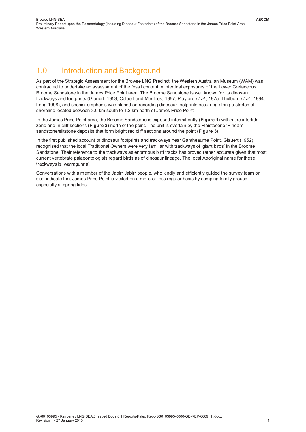#### 1.0 Introduction and Background

As part of the Strategic Assessment for the Browse LNG Precinct, the Western Australian Museum (WAM) was contracted to undertake an assessment of the fossil content in intertidal exposures of the Lower Cretaceous Broome Sandstone in the James Price Point area. The Broome Sandstone is well known for its dinosaur trackways and footprints (Glauert, 1953, Colbert and Merilees, 1967; Playford *et al*., 1975; Thulborn *et al*., 1994; Long 1998), and special emphasis was placed on recording dinosaur footprints occurring along a stretch of shoreline located between 3.0 km south to 1.2 km north of James Price Point.

In the James Price Point area, the Broome Sandstone is exposed intermittently **(Figure 1)** within the intertidal zone and in cliff sections **(Figure 2)** north of the point. The unit is overlain by the Pleistocene 'Pindan' sandstone/siltstone deposits that form bright red cliff sections around the point **(Figure 3)**.

In the first published account of dinosaur footprints and trackways near Gantheaume Point, Glauert (1952) recognised that the local Traditional Owners were very familiar with trackways of 'giant birds' in the Broome Sandstone. Their reference to the trackways as enormous bird tracks has proved rather accurate given that most current vertebrate palaeontologists regard birds as of dinosaur lineage. The local Aboriginal name for these trackways is 'warragunna'.

Conversations with a member of the Jabirr Jabirr people, who kindly and efficiently guided the survey team on site, indicate that James Price Point is visited on a more-or-less regular basis by camping family groups, especially at spring tides.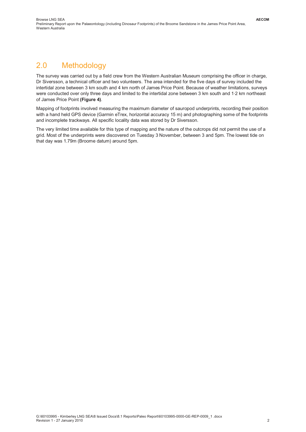## 2.0 Methodology

The survey was carried out by a field crew from the Western Australian Museum comprising the officer in charge, Dr Siversson, a technical officer and two volunteers. The area intended for the five days of survey included the intertidal zone between 3 km south and 4 km north of James Price Point. Because of weather limitations, surveys were conducted over only three days and limited to the intertidal zone between 3 km south and 1·2 km northeast of James Price Point **(Figure 4)**.

Mapping of footprints involved measuring the maximum diameter of sauropod underprints, recording their position with a hand held GPS device (Garmin eTrex, horizontal accuracy 15 m) and photographing some of the footprints and incomplete trackways. All specific locality data was stored by Dr Siversson.

The very limited time available for this type of mapping and the nature of the outcrops did not permit the use of a grid. Most of the underprints were discovered on Tuesday 3 November, between 3 and 5pm. The lowest tide on that day was 1.79m (Broome datum) around 5pm.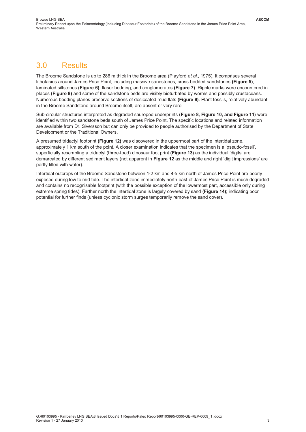#### 3.0 Results

The Broome Sandstone is up to 286 m thick in the Broome area (Playford *et al*., 1975). It comprises several lithofacies around James Price Point, including massive sandstones, cross-bedded sandstones **(Figure 5)**, laminated siltstones **(Figure 6)**, flaser bedding, and conglomerates **(Figure 7)**. Ripple marks were encountered in places **(Figure 8)** and some of the sandstone beds are visibly bioturbated by worms and possibly crustaceans. Numerous bedding planes preserve sections of desiccated mud flats **(Figure 9)**. Plant fossils, relatively abundant in the Broome Sandstone around Broome itself, are absent or very rare.

Sub-circular structures interpreted as degraded sauropod underprints **(Figure 8, Figure 10, and Figure 11)** were identified within two sandstone beds south of James Price Point. The specific locations and related information are available from Dr. Siversson but can only be provided to people authorised by the Department of State Development or the Traditional Owners.

A presumed tridactyl footprint **(Figure 12)** was discovered in the uppermost part of the intertidal zone, approximately 1 km south of the point. A closer examination indicates that the specimen is a 'pseudo-fossil', superficially resembling a tridactyl (three-toed) dinosaur foot print **(Figure 13)** as the individual 'digits' are demarcated by different sediment layers (not apparent in **Figure 12** as the middle and right 'digit impressions' are partly filled with water).

Intertidal outcrops of the Broome Sandstone between 1·2 km and 4·5 km north of James Price Point are poorly exposed during low to mid-tide. The intertidal zone immediately north-east of James Price Point is much degraded and contains no recognisable footprint (with the possible exception of the lowermost part, accessible only during extreme spring tides). Farther north the intertidal zone is largely covered by sand **(Figure 14)**; indicating poor potential for further finds (unless cyclonic storm surges temporarily remove the sand cover).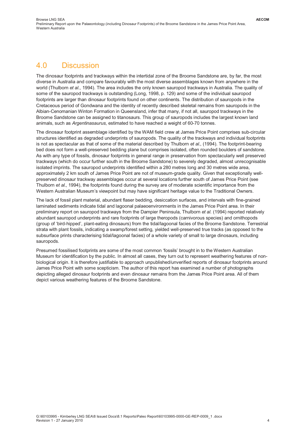#### 4.0 Discussion

The dinosaur footprints and trackways within the intertidal zone of the Broome Sandstone are, by far, the most diverse in Australia and compare favourably with the most diverse assemblages known from anywhere in the world (Thulborn *et al*., 1994). The area includes the only known sauropod trackways in Australia. The quality of some of the sauropod trackways is outstanding (Long, 1998, p. 129) and some of the individual sauropod footprints are larger than dinosaur footprints found on other continents. The distribution of sauropods in the Cretaceous period of Gondwana and the identity of recently described skeletal remains from sauropods in the Albian-Cenomanian Winton Formation in Queensland, infer that many, if not all, sauropod trackways in the Broome Sandstone can be assigned to titanosaurs. This group of sauropods includes the largest known land animals, such as *Argentinasaurus*, estimated to have reached a weight of 60-70 tonnes.

The dinosaur footprint assemblage identified by the WAM field crew at James Price Point comprises sub-circular structures identified as degraded underprints of sauropods. The quality of the trackways and individual footprints is not as spectacular as that of some of the material described by Thulborn *et al*., (1994). The footprint-bearing bed does not form a well-preserved bedding plane but comprises isolated, often rounded boulders of sandstone. As with any type of fossils, dinosaur footprints in general range in preservation from spectacularly well preserved trackways (which do occur further south in the Broome Sandstone) to severely degraded, almost unrecognisable isolated imprints. The sauropod underprints identified within a 280 metres long and 30 metres wide area, approximately 2 km south of James Price Point are not of museum-grade quality. Given that exceptionally wellpreserved dinosaur trackway assemblages occur at several locations further south of James Price Point (see Thulborn *et al*., 1994), the footprints found during the survey are of moderate scientific importance from the Western Australian Museum's viewpoint but may have significant heritage value to the Traditional Owners.

The lack of fossil plant material, abundant flaser bedding, desiccation surfaces, and intervals with fine-grained laminated sediments indicate tidal and lagoonal palaeoenvironments in the James Price Point area. In their preliminary report on sauropod trackways from the Dampier Peninsula, Thulborn *et al*. (1994) reported relatively abundant sauropod underprints and rare footprints of large theropods (carnivorous species) and ornithopods (group of 'bird-hipped', plant-eating dinosaurs) from the tidal/lagoonal facies of the Broome Sandstone. Terrestrial strata with plant fossils, indicating a swamp/forest setting, yielded well-preserved true tracks (as opposed to the subsurface prints characterising tidal/lagoonal facies) of a whole variety of small to large dinosaurs, including sauropods.

Presumed fossilised footprints are some of the most common 'fossils' brought in to the Western Australian Museum for identification by the public. In almost all cases, they turn out to represent weathering features of nonbiological origin. It is therefore justifiable to approach unpublished/unverified reports of dinosaur footprints around James Price Point with some scepticism. The author of this report has examined a number of photographs depicting alleged dinosaur footprints and even dinosaur remains from the James Price Point area. All of them depict various weathering features of the Broome Sandstone.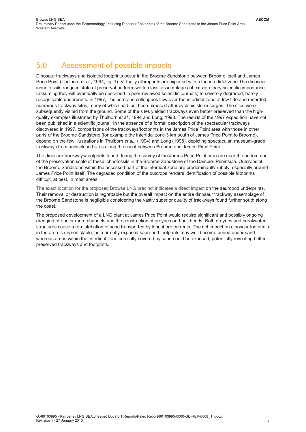#### 5.0 Assessment of possible impacts

Dinosaur trackways and isolated footprints occur in the Broome Sandstone between Broome itself and James Price Point (Thulborn et al., 1994, fig. 1). Virtually all imprints are exposed within the intertidal zone.The dinosaur ichno fossils range in state of preservation from 'world-class' assemblages of extraordinary scientific importance (assuming they will eventually be described in peer-reviewed scientific journals) to severely degraded, barely recognisable underprints. In 1997, Thulborn and colleagues flew over the intertidal zone at low tide and recorded numerous trackway sites, many of which had just been exposed after cyclonic storm surges. The sites were subsequently visited from the ground. Some of the sites yielded trackways even better preserved than the highquality examples illustrated by Thulborn *et al*., 1994 and Long, 1998. The results of the 1997 expedition have not been published in a scientific journal. In the absence of a formal description of the spectacular trackways discovered in 1997, comparisons of the trackways/footprints in the James Price Point area with those in other parts of the Broome Sandstone (for example the intertidal zone 3 km south of James Price Point to Broome), depend on the few illustrations in Thulborn *et al.,* (1994) and Long (1998), depicting spectacular, museum-grade trackways from undisclosed sites along the coast between Broome and James Price Point.

The dinosaur trackways/footprints found during the survey of the James Price Point area are near the bottom end of the preservation scale of these ichnofossils in the Broome Sandstone of the Dampier Peninsula. Outcrops of the Broome Sandstone within the accessed part of the intertidal zone are predominantly rubbly, especially around James Price Point itself. The degraded condition of the outcrops renders identification of possible footprints difficult, at best, in most areas.

The exact location for the proposed Browse LNG precinct indicates a direct impact on the sauropod underprints. Their removal or destruction is regrettable but the overall impact on the entire dinosaur trackway assemblage of the Broome Sandstone is negligible considering the vastly superior quality of trackways found further south along the coast.

The proposed development of a LNG plant at James Price Point would require significant and possibly ongoing dredging of one or more channels and the construction of groynes and bulkheads. Both groynes and breakwater structures cause a re-distribution of sand transported by longshore currents. The net impact on dinosaur footprints in the area is unpredictable, but currently exposed sauropod footprints may well become buried under sand whereas areas within the intertidal zone currently covered by sand could be exposed, potentially revealing better preserved trackways and footprints.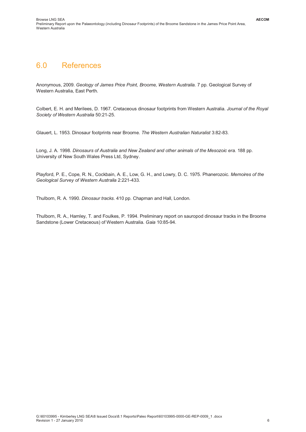#### 6.0 References

Anonymous, 2009. *Geology of James Price Point, Broome, Western Australia.* 7 pp. Geological Survey of Western Australia, East Perth.

Colbert, E. H. and Merilees, D. 1967. Cretaceous dinosaur footprints from Western Australia. *Journal of the Royal Society of Western Australia* 50:21-25.

Glauert, L. 1953. Dinosaur footprints near Broome. *The Western Australian Naturalist* 3:82-83.

Long, J. A. 1998. *Dinosaurs of Australia and New Zealand and other animals of the Mesozoic era.* 188 pp. University of New South Wales Press Ltd, Sydney.

Playford, P. E., Cope, R. N., Cockbain, A. E., Low, G. H., and Lowry, D. C. 1975. Phanerozoic. *Memoires of the Geological Survey of Western Australia* 2:221-433.

Thulborn, R. A. 1990. *Dinosaur tracks.* 410 pp. Chapman and Hall, London.

Thulborn, R. A., Hamley, T. and Foulkes, P. 1994. Preliminary report on sauropod dinosaur tracks in the Broome Sandstone (Lower Cretaceous) of Western Australia. *Gaia* 10:85-94.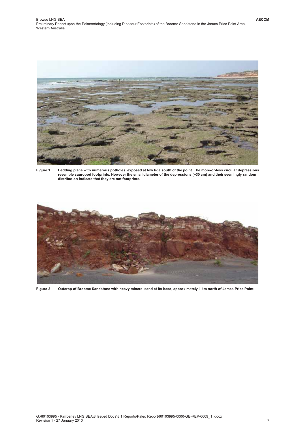

**Figure 1 Bedding plane with numerous potholes, exposed at low tide south of the point. The more-or-less circular depressions resemble sauropod footprints. However the small diameter of the depressions (~30 cm) and their seemingly random distribution indicate that they are not footprints.**



**Figure 2 Outcrop of Broome Sandstone with heavy mineral sand at its base, approximately 1 km north of James Price Point.**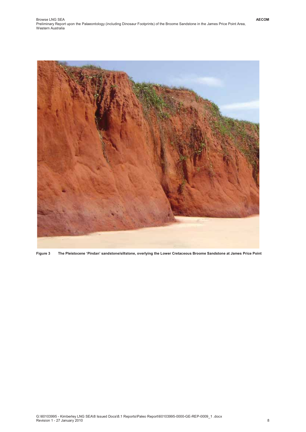

**Figure 3 The Pleistocene 'Pindan' sandstone/siltstone, overlying the Lower Cretaceous Broome Sandstone at James Price Point**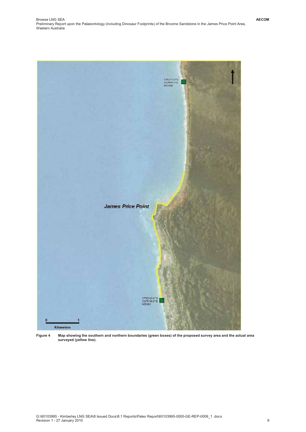

**Figure 4 Map showing the southern and northern boundaries (green boxes) of the proposed survey area and the actual area surveyed (yellow line).**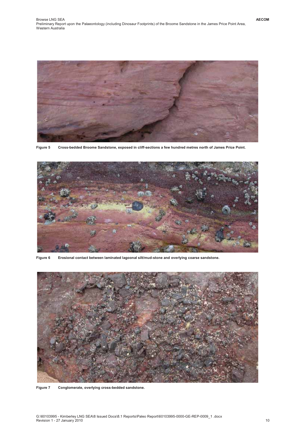

**Figure 5 Cross-bedded Broome Sandstone, exposed in cliff-sections a few hundred metres north of James Price Point.**



**Figure 6 Erosional contact between laminated lagoonal silt/mud-stone and overlying coarse sandstone.**



**Figure 7 Conglomerate, overlying cross-bedded sandstone.**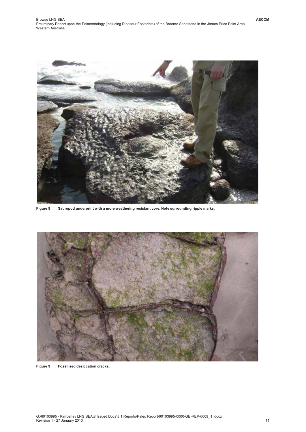

**Figure 8 Sauropod underprint with a more weathering resistant core. Note surrounding ripple marks.**



**Figure 9 Fossilised desiccation cracks.**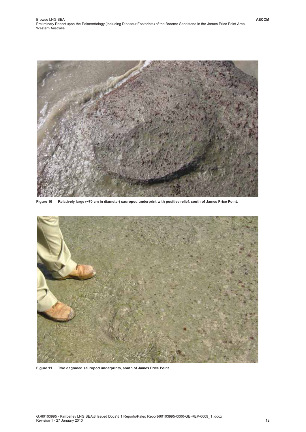

**Figure 10 Relatively large (~70 cm in diameter) sauropod underprint with positive relief, south of James Price Point.**



**Figure 11 Two degraded sauropod underprints, south of James Price Point.**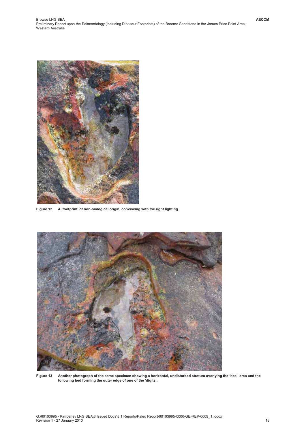

**Figure 12 A 'footprint' of non-biological origin, convincing with the right lighting.**



**Figure 13 Another photograph of the same specimen showing a horizontal, undisturbed stratum overlying the 'heel' area and the following bed forming the outer edge of one of the 'digits'.**